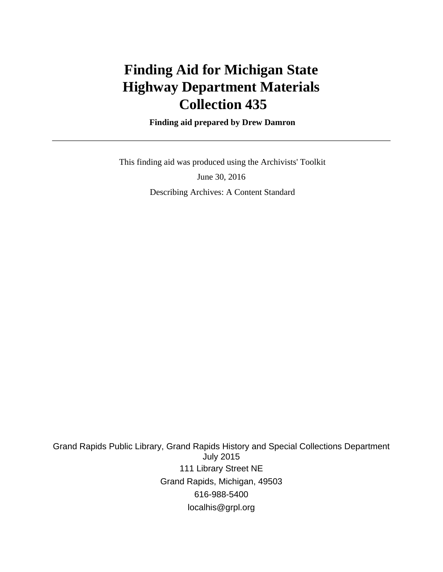# **Finding Aid for Michigan State Highway Department Materials Collection 435**

 **Finding aid prepared by Drew Damron**

 This finding aid was produced using the Archivists' Toolkit June 30, 2016 Describing Archives: A Content Standard

Grand Rapids Public Library, Grand Rapids History and Special Collections Department July 2015 111 Library Street NE Grand Rapids, Michigan, 49503 616-988-5400 localhis@grpl.org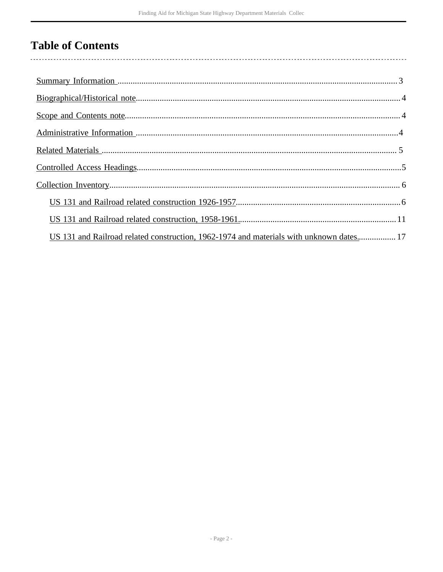## **Table of Contents**

 $\overline{\phantom{a}}$ 

| US 131 and Railroad related construction, 1962-1974 and materials with unknown dates 17 |  |
|-----------------------------------------------------------------------------------------|--|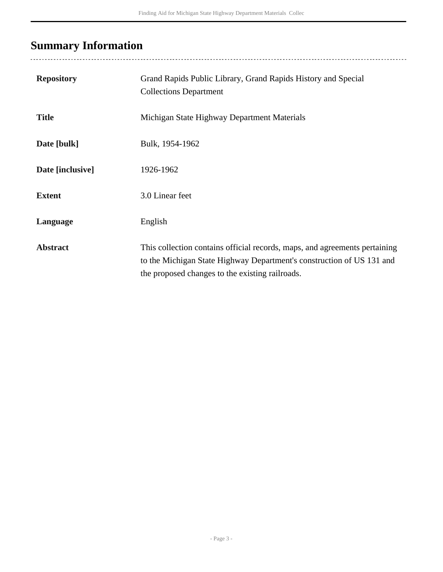## <span id="page-2-0"></span>**Summary Information**

| <b>Repository</b> | Grand Rapids Public Library, Grand Rapids History and Special<br><b>Collections Department</b>                                                                                                         |
|-------------------|--------------------------------------------------------------------------------------------------------------------------------------------------------------------------------------------------------|
| <b>Title</b>      | Michigan State Highway Department Materials                                                                                                                                                            |
| Date [bulk]       | Bulk, 1954-1962                                                                                                                                                                                        |
| Date [inclusive]  | 1926-1962                                                                                                                                                                                              |
| <b>Extent</b>     | 3.0 Linear feet                                                                                                                                                                                        |
| Language          | English                                                                                                                                                                                                |
| <b>Abstract</b>   | This collection contains official records, maps, and agreements pertaining<br>to the Michigan State Highway Department's construction of US 131 and<br>the proposed changes to the existing railroads. |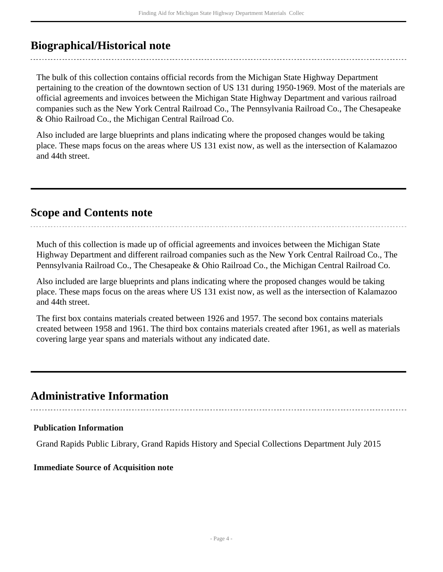### <span id="page-3-0"></span>**Biographical/Historical note**

The bulk of this collection contains official records from the Michigan State Highway Department pertaining to the creation of the downtown section of US 131 during 1950-1969. Most of the materials are official agreements and invoices between the Michigan State Highway Department and various railroad companies such as the New York Central Railroad Co., The Pennsylvania Railroad Co., The Chesapeake & Ohio Railroad Co., the Michigan Central Railroad Co.

Also included are large blueprints and plans indicating where the proposed changes would be taking place. These maps focus on the areas where US 131 exist now, as well as the intersection of Kalamazoo and 44th street.

### <span id="page-3-1"></span>**Scope and Contents note**

Much of this collection is made up of official agreements and invoices between the Michigan State Highway Department and different railroad companies such as the New York Central Railroad Co., The Pennsylvania Railroad Co., The Chesapeake & Ohio Railroad Co., the Michigan Central Railroad Co.

Also included are large blueprints and plans indicating where the proposed changes would be taking place. These maps focus on the areas where US 131 exist now, as well as the intersection of Kalamazoo and 44th street.

The first box contains materials created between 1926 and 1957. The second box contains materials created between 1958 and 1961. The third box contains materials created after 1961, as well as materials covering large year spans and materials without any indicated date.

### <span id="page-3-2"></span>**Administrative Information**

#### **Publication Information**

Grand Rapids Public Library, Grand Rapids History and Special Collections Department July 2015

#### **Immediate Source of Acquisition note**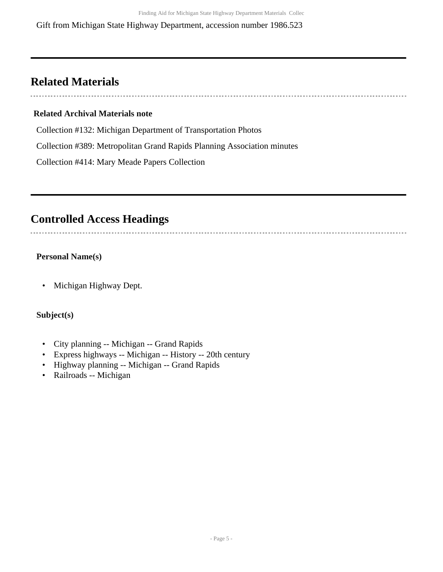Gift from Michigan State Highway Department, accession number 1986.523

### <span id="page-4-0"></span>**Related Materials**

#### **Related Archival Materials note**

Collection #132: Michigan Department of Transportation Photos

Collection #389: Metropolitan Grand Rapids Planning Association minutes

Collection #414: Mary Meade Papers Collection

### <span id="page-4-1"></span>**Controlled Access Headings**

#### **Personal Name(s)**

• Michigan Highway Dept.

#### **Subject(s)**

- City planning -- Michigan -- Grand Rapids
- Express highways -- Michigan -- History -- 20th century
- Highway planning -- Michigan -- Grand Rapids
- Railroads -- Michigan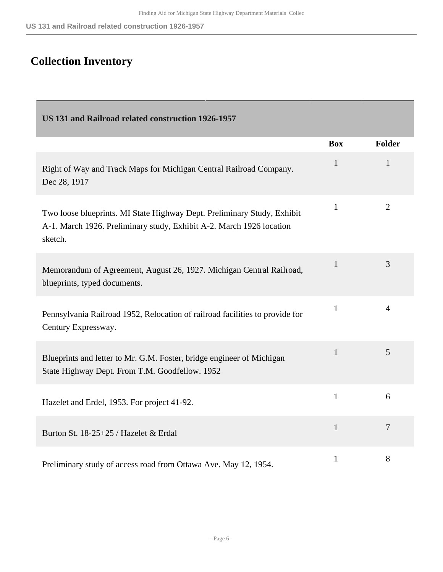# <span id="page-5-0"></span>**Collection Inventory**

<span id="page-5-1"></span>

| US 131 and Railroad related construction 1926-1957                                                                                                         |              |                |
|------------------------------------------------------------------------------------------------------------------------------------------------------------|--------------|----------------|
|                                                                                                                                                            | <b>Box</b>   | <b>Folder</b>  |
| Right of Way and Track Maps for Michigan Central Railroad Company.<br>Dec 28, 1917                                                                         | $\mathbf{1}$ | $\mathbf{1}$   |
| Two loose blueprints. MI State Highway Dept. Preliminary Study, Exhibit<br>A-1. March 1926. Preliminary study, Exhibit A-2. March 1926 location<br>sketch. | $\mathbf{1}$ | $\overline{2}$ |
| Memorandum of Agreement, August 26, 1927. Michigan Central Railroad,<br>blueprints, typed documents.                                                       | $\mathbf{1}$ | 3              |
| Pennsylvania Railroad 1952, Relocation of railroad facilities to provide for<br>Century Expressway.                                                        | 1            | $\overline{4}$ |
| Blueprints and letter to Mr. G.M. Foster, bridge engineer of Michigan<br>State Highway Dept. From T.M. Goodfellow. 1952                                    | $\mathbf{1}$ | 5              |
| Hazelet and Erdel, 1953. For project 41-92.                                                                                                                | $\mathbf{1}$ | 6              |
| Burton St. 18-25+25 / Hazelet & Erdal                                                                                                                      | $\mathbf{1}$ | $\overline{7}$ |
| Preliminary study of access road from Ottawa Ave. May 12, 1954.                                                                                            | $\mathbf{1}$ | 8              |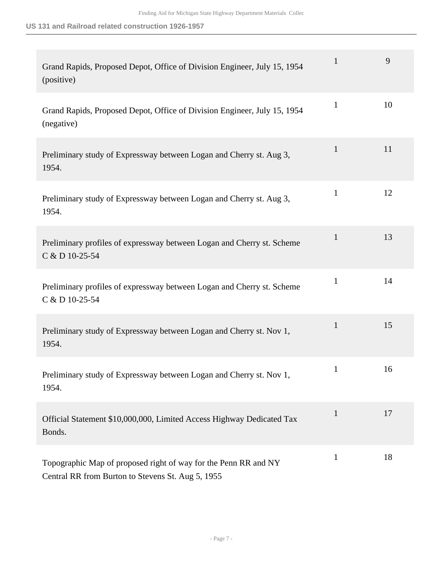**US 131 and Railroad related construction 1926-1957**

| Grand Rapids, Proposed Depot, Office of Division Engineer, July 15, 1954<br>(positive)                               | $\mathbf{1}$ | 9  |
|----------------------------------------------------------------------------------------------------------------------|--------------|----|
| Grand Rapids, Proposed Depot, Office of Division Engineer, July 15, 1954<br>(negative)                               | $\mathbf{1}$ | 10 |
| Preliminary study of Expressway between Logan and Cherry st. Aug 3,<br>1954.                                         | 1            | 11 |
| Preliminary study of Expressway between Logan and Cherry st. Aug 3,<br>1954.                                         | $\mathbf{1}$ | 12 |
| Preliminary profiles of expressway between Logan and Cherry st. Scheme<br>C & D 10-25-54                             | $\mathbf{1}$ | 13 |
| Preliminary profiles of expressway between Logan and Cherry st. Scheme<br>C & D 10-25-54                             | $\mathbf{1}$ | 14 |
| Preliminary study of Expressway between Logan and Cherry st. Nov 1,<br>1954.                                         | $\mathbf{1}$ | 15 |
| Preliminary study of Expressway between Logan and Cherry st. Nov 1,<br>1954.                                         | $\mathbf{1}$ | 16 |
| Official Statement \$10,000,000, Limited Access Highway Dedicated Tax<br>Bonds.                                      | $\mathbf{1}$ | 17 |
| Topographic Map of proposed right of way for the Penn RR and NY<br>Central RR from Burton to Stevens St. Aug 5, 1955 | $\mathbf{1}$ | 18 |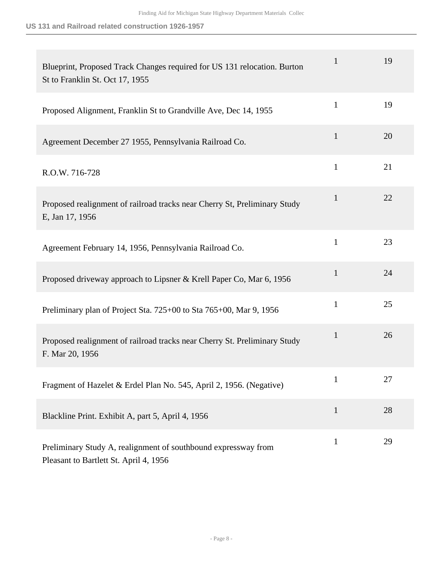**US 131 and Railroad related construction 1926-1957**

| Blueprint, Proposed Track Changes required for US 131 relocation. Burton<br>St to Franklin St. Oct 17, 1955 | $\mathbf{1}$ | 19 |
|-------------------------------------------------------------------------------------------------------------|--------------|----|
| Proposed Alignment, Franklin St to Grandville Ave, Dec 14, 1955                                             | $\mathbf{1}$ | 19 |
| Agreement December 27 1955, Pennsylvania Railroad Co.                                                       | $\mathbf{1}$ | 20 |
| R.O.W. 716-728                                                                                              | $\mathbf{1}$ | 21 |
| Proposed realignment of railroad tracks near Cherry St, Preliminary Study<br>E, Jan 17, 1956                | $\mathbf{1}$ | 22 |
| Agreement February 14, 1956, Pennsylvania Railroad Co.                                                      | $\mathbf{1}$ | 23 |
| Proposed driveway approach to Lipsner & Krell Paper Co, Mar 6, 1956                                         | $\mathbf{1}$ | 24 |
| Preliminary plan of Project Sta. 725+00 to Sta 765+00, Mar 9, 1956                                          | $\mathbf{1}$ | 25 |
| Proposed realignment of railroad tracks near Cherry St. Preliminary Study<br>F. Mar 20, 1956                | $\mathbf{1}$ | 26 |
| Fragment of Hazelet & Erdel Plan No. 545, April 2, 1956. (Negative)                                         | $\mathbf{1}$ | 27 |
| Blackline Print. Exhibit A, part 5, April 4, 1956                                                           | $\mathbf{1}$ | 28 |
| Preliminary Study A, realignment of southbound expressway from<br>Pleasant to Bartlett St. April 4, 1956    | $\mathbf{1}$ | 29 |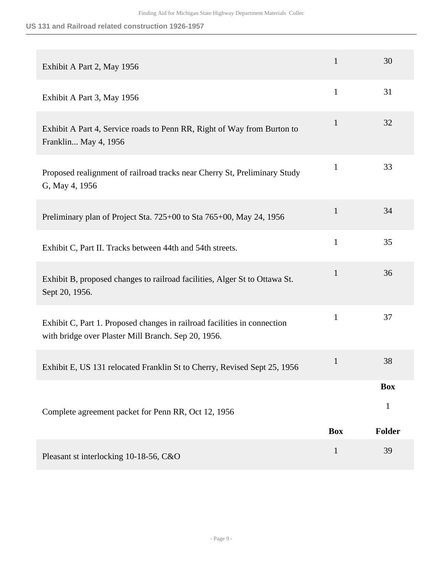**US 131 and Railroad related construction 1926-1957**

| Exhibit A Part 2, May 1956                                                                                                      | $\mathbf{1}$ | 30            |
|---------------------------------------------------------------------------------------------------------------------------------|--------------|---------------|
| Exhibit A Part 3, May 1956                                                                                                      | $\mathbf{1}$ | 31            |
| Exhibit A Part 4, Service roads to Penn RR, Right of Way from Burton to<br>Franklin May 4, 1956                                 | $\mathbf{1}$ | 32            |
| Proposed realignment of railroad tracks near Cherry St, Preliminary Study<br>G, May 4, 1956                                     | $\mathbf{1}$ | 33            |
| Preliminary plan of Project Sta. 725+00 to Sta 765+00, May 24, 1956                                                             | $\mathbf{1}$ | 34            |
| Exhibit C, Part II. Tracks between 44th and 54th streets.                                                                       | $\mathbf{1}$ | 35            |
| Exhibit B, proposed changes to railroad facilities, Alger St to Ottawa St.<br>Sept 20, 1956.                                    | $\mathbf{1}$ | 36            |
| Exhibit C, Part 1. Proposed changes in railroad facilities in connection<br>with bridge over Plaster Mill Branch. Sep 20, 1956. | $\mathbf{1}$ | 37            |
| Exhibit E, US 131 relocated Franklin St to Cherry, Revised Sept 25, 1956                                                        | $\mathbf{1}$ | 38            |
|                                                                                                                                 |              | <b>Box</b>    |
| Complete agreement packet for Penn RR, Oct 12, 1956                                                                             |              | 1             |
|                                                                                                                                 | <b>Box</b>   | <b>Folder</b> |
| Pleasant st interlocking 10-18-56, C&O                                                                                          | $\mathbf{1}$ | 39            |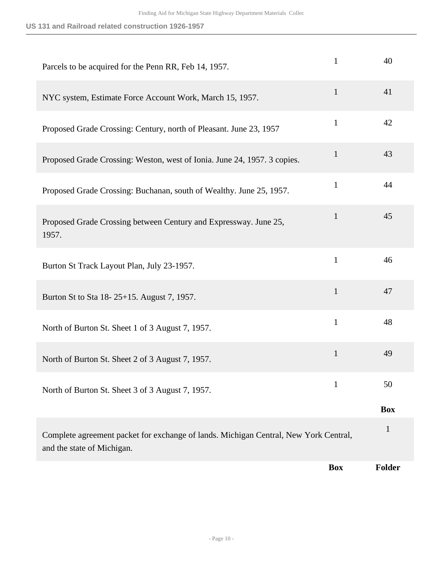| Parcels to be acquired for the Penn RR, Feb 14, 1957.                                                              | $\mathbf{1}$ | 40            |
|--------------------------------------------------------------------------------------------------------------------|--------------|---------------|
| NYC system, Estimate Force Account Work, March 15, 1957.                                                           | $\mathbf{1}$ | 41            |
| Proposed Grade Crossing: Century, north of Pleasant. June 23, 1957                                                 | $\mathbf{1}$ | 42            |
| Proposed Grade Crossing: Weston, west of Ionia. June 24, 1957. 3 copies.                                           | $\mathbf{1}$ | 43            |
| Proposed Grade Crossing: Buchanan, south of Wealthy. June 25, 1957.                                                | $\mathbf{1}$ | 44            |
| Proposed Grade Crossing between Century and Expressway. June 25,<br>1957.                                          | 1            | 45            |
| Burton St Track Layout Plan, July 23-1957.                                                                         | $\mathbf{1}$ | 46            |
| Burton St to Sta 18-25+15. August 7, 1957.                                                                         | $\mathbf{1}$ | 47            |
| North of Burton St. Sheet 1 of 3 August 7, 1957.                                                                   | $\mathbf{1}$ | 48            |
| North of Burton St. Sheet 2 of 3 August 7, 1957.                                                                   | $\mathbf{1}$ | 49            |
| North of Burton St. Sheet 3 of 3 August 7, 1957.                                                                   | $\mathbf{1}$ | 50            |
|                                                                                                                    |              | <b>Box</b>    |
| Complete agreement packet for exchange of lands. Michigan Central, New York Central,<br>and the state of Michigan. |              | $\mathbf{1}$  |
|                                                                                                                    | <b>Box</b>   | <b>Folder</b> |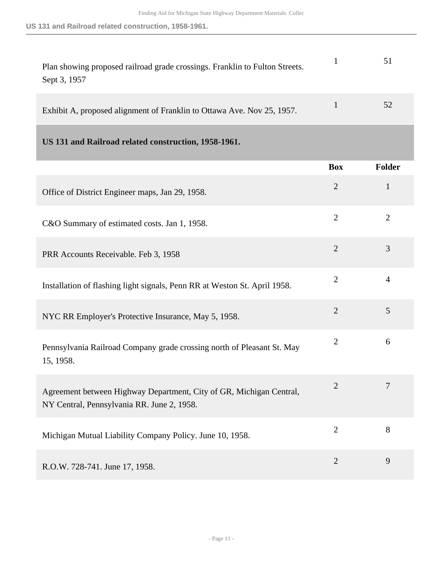| Plan showing proposed railroad grade crossings. Franklin to Fulton Streets.<br>Sept 3, 1957 | 51 |
|---------------------------------------------------------------------------------------------|----|
| Exhibit A, proposed alignment of Franklin to Ottawa Ave. Nov 25, 1957.                      | 52 |

<span id="page-10-0"></span>

|                                                                                                                   | <b>Box</b>     | Folder         |
|-------------------------------------------------------------------------------------------------------------------|----------------|----------------|
| Office of District Engineer maps, Jan 29, 1958.                                                                   | $\overline{2}$ | $\mathbf{1}$   |
| C&O Summary of estimated costs. Jan 1, 1958.                                                                      | $\overline{2}$ | $\overline{2}$ |
| PRR Accounts Receivable. Feb 3, 1958                                                                              | $\overline{2}$ | 3              |
| Installation of flashing light signals, Penn RR at Weston St. April 1958.                                         | $\overline{2}$ | $\overline{4}$ |
| NYC RR Employer's Protective Insurance, May 5, 1958.                                                              | $\overline{2}$ | 5              |
| Pennsylvania Railroad Company grade crossing north of Pleasant St. May<br>15, 1958.                               | $\overline{2}$ | 6              |
| Agreement between Highway Department, City of GR, Michigan Central,<br>NY Central, Pennsylvania RR. June 2, 1958. | $\overline{2}$ | 7              |
| Michigan Mutual Liability Company Policy. June 10, 1958.                                                          | $\overline{2}$ | 8              |
| R.O.W. 728-741. June 17, 1958.                                                                                    | $\overline{2}$ | 9              |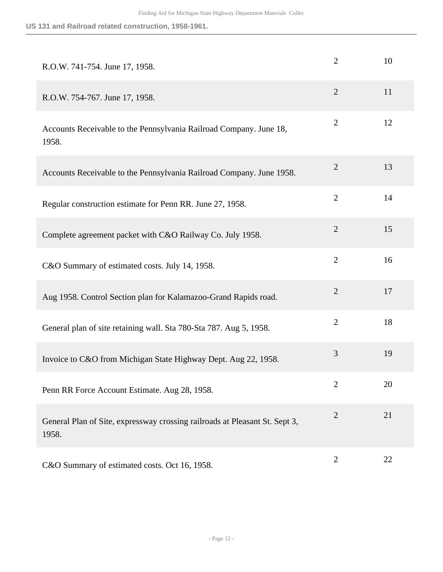| R.O.W. 741-754. June 17, 1958.                                                       | $\overline{2}$ | 10 |
|--------------------------------------------------------------------------------------|----------------|----|
| R.O.W. 754-767. June 17, 1958.                                                       | $\overline{2}$ | 11 |
| Accounts Receivable to the Pennsylvania Railroad Company. June 18,<br>1958.          | $\overline{2}$ | 12 |
| Accounts Receivable to the Pennsylvania Railroad Company. June 1958.                 | $\overline{2}$ | 13 |
| Regular construction estimate for Penn RR. June 27, 1958.                            | $\overline{2}$ | 14 |
| Complete agreement packet with C&O Railway Co. July 1958.                            | $\overline{2}$ | 15 |
| C&O Summary of estimated costs. July 14, 1958.                                       | $\overline{2}$ | 16 |
| Aug 1958. Control Section plan for Kalamazoo-Grand Rapids road.                      | $\overline{2}$ | 17 |
| General plan of site retaining wall. Sta 780-Sta 787. Aug 5, 1958.                   | $\overline{2}$ | 18 |
| Invoice to C&O from Michigan State Highway Dept. Aug 22, 1958.                       | 3              | 19 |
| Penn RR Force Account Estimate. Aug 28, 1958.                                        | $\overline{2}$ | 20 |
| General Plan of Site, expressway crossing railroads at Pleasant St. Sept 3,<br>1958. | $\overline{2}$ | 21 |
| C&O Summary of estimated costs. Oct 16, 1958.                                        | $\overline{2}$ | 22 |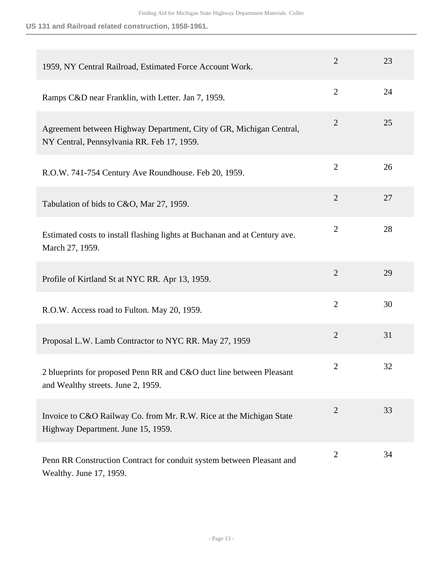| 1959, NY Central Railroad, Estimated Force Account Work.                                                          | $\overline{2}$ | 23 |
|-------------------------------------------------------------------------------------------------------------------|----------------|----|
| Ramps C&D near Franklin, with Letter. Jan 7, 1959.                                                                | $\overline{2}$ | 24 |
| Agreement between Highway Department, City of GR, Michigan Central,<br>NY Central, Pennsylvania RR. Feb 17, 1959. | $\overline{2}$ | 25 |
| R.O.W. 741-754 Century Ave Roundhouse. Feb 20, 1959.                                                              | $\overline{2}$ | 26 |
| Tabulation of bids to C&O, Mar 27, 1959.                                                                          | $\overline{2}$ | 27 |
| Estimated costs to install flashing lights at Buchanan and at Century ave.<br>March 27, 1959.                     | $\overline{2}$ | 28 |
| Profile of Kirtland St at NYC RR. Apr 13, 1959.                                                                   | $\overline{2}$ | 29 |
| R.O.W. Access road to Fulton. May 20, 1959.                                                                       | $\overline{2}$ | 30 |
| Proposal L.W. Lamb Contractor to NYC RR. May 27, 1959                                                             | $\overline{2}$ | 31 |
| 2 blueprints for proposed Penn RR and C&O duct line between Pleasant<br>and Wealthy streets. June 2, 1959.        | $\overline{2}$ | 32 |
| Invoice to C&O Railway Co. from Mr. R.W. Rice at the Michigan State<br>Highway Department. June 15, 1959.         | $\overline{2}$ | 33 |
| Penn RR Construction Contract for conduit system between Pleasant and<br>Wealthy. June 17, 1959.                  | $\overline{2}$ | 34 |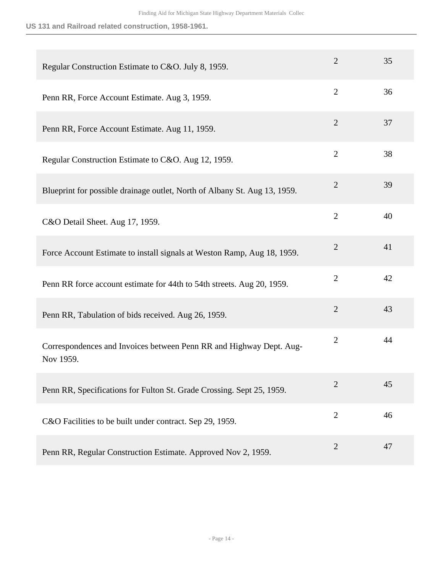| Regular Construction Estimate to C&O. July 8, 1959.                              | $\overline{2}$ | 35 |
|----------------------------------------------------------------------------------|----------------|----|
| Penn RR, Force Account Estimate. Aug 3, 1959.                                    | $\overline{2}$ | 36 |
| Penn RR, Force Account Estimate. Aug 11, 1959.                                   | $\overline{2}$ | 37 |
| Regular Construction Estimate to C&O. Aug 12, 1959.                              | $\overline{2}$ | 38 |
| Blueprint for possible drainage outlet, North of Albany St. Aug 13, 1959.        | $\overline{2}$ | 39 |
| C&O Detail Sheet. Aug 17, 1959.                                                  | $\overline{2}$ | 40 |
| Force Account Estimate to install signals at Weston Ramp, Aug 18, 1959.          | $\overline{2}$ | 41 |
| Penn RR force account estimate for 44th to 54th streets. Aug 20, 1959.           | $\overline{2}$ | 42 |
| Penn RR, Tabulation of bids received. Aug 26, 1959.                              | $\overline{2}$ | 43 |
| Correspondences and Invoices between Penn RR and Highway Dept. Aug-<br>Nov 1959. | $\overline{2}$ | 44 |
| Penn RR, Specifications for Fulton St. Grade Crossing. Sept 25, 1959.            | 2              | 45 |
| C&O Facilities to be built under contract. Sep 29, 1959.                         | $\overline{2}$ | 46 |
| Penn RR, Regular Construction Estimate. Approved Nov 2, 1959.                    | $\overline{2}$ | 47 |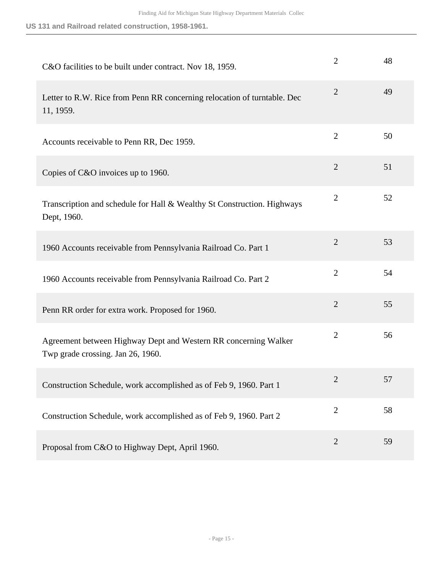| C&O facilities to be built under contract. Nov 18, 1959.                                             | $\overline{2}$ | 48 |
|------------------------------------------------------------------------------------------------------|----------------|----|
| Letter to R.W. Rice from Penn RR concerning relocation of turntable. Dec<br>11, 1959.                | $\overline{2}$ | 49 |
| Accounts receivable to Penn RR, Dec 1959.                                                            | $\overline{2}$ | 50 |
| Copies of C&O invoices up to 1960.                                                                   | $\overline{2}$ | 51 |
| Transcription and schedule for Hall & Wealthy St Construction. Highways<br>Dept, 1960.               | $\overline{2}$ | 52 |
| 1960 Accounts receivable from Pennsylvania Railroad Co. Part 1                                       | $\overline{2}$ | 53 |
| 1960 Accounts receivable from Pennsylvania Railroad Co. Part 2                                       | $\overline{2}$ | 54 |
| Penn RR order for extra work. Proposed for 1960.                                                     | $\overline{2}$ | 55 |
| Agreement between Highway Dept and Western RR concerning Walker<br>Twp grade crossing. Jan 26, 1960. | $\overline{2}$ | 56 |
| Construction Schedule, work accomplished as of Feb 9, 1960. Part 1                                   | $\overline{2}$ | 57 |
| Construction Schedule, work accomplished as of Feb 9, 1960. Part 2                                   | $\overline{2}$ | 58 |
| Proposal from C&O to Highway Dept, April 1960.                                                       | $\overline{2}$ | 59 |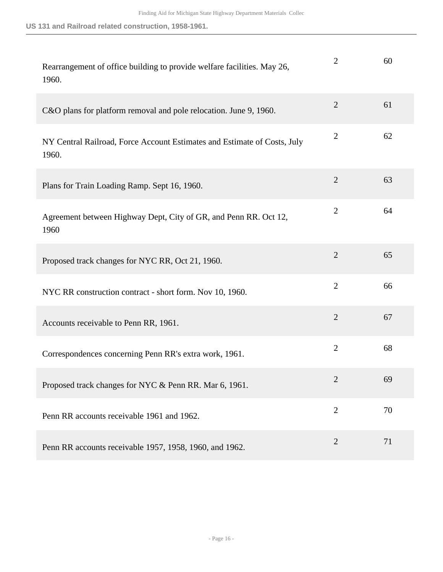| Rearrangement of office building to provide welfare facilities. May 26,<br>1960.  | $\overline{2}$ | 60 |
|-----------------------------------------------------------------------------------|----------------|----|
| C&O plans for platform removal and pole relocation. June 9, 1960.                 | $\overline{2}$ | 61 |
| NY Central Railroad, Force Account Estimates and Estimate of Costs, July<br>1960. | $\overline{2}$ | 62 |
| Plans for Train Loading Ramp. Sept 16, 1960.                                      | $\overline{2}$ | 63 |
| Agreement between Highway Dept, City of GR, and Penn RR. Oct 12,<br>1960          | $\overline{2}$ | 64 |
| Proposed track changes for NYC RR, Oct 21, 1960.                                  | $\overline{2}$ | 65 |
| NYC RR construction contract - short form. Nov 10, 1960.                          | $\overline{2}$ | 66 |
| Accounts receivable to Penn RR, 1961.                                             | $\overline{2}$ | 67 |
| Correspondences concerning Penn RR's extra work, 1961.                            | $\overline{2}$ | 68 |
| Proposed track changes for NYC & Penn RR. Mar 6, 1961.                            | $\overline{2}$ | 69 |
| Penn RR accounts receivable 1961 and 1962.                                        | $\overline{2}$ | 70 |
| Penn RR accounts receivable 1957, 1958, 1960, and 1962.                           | $\overline{2}$ | 71 |